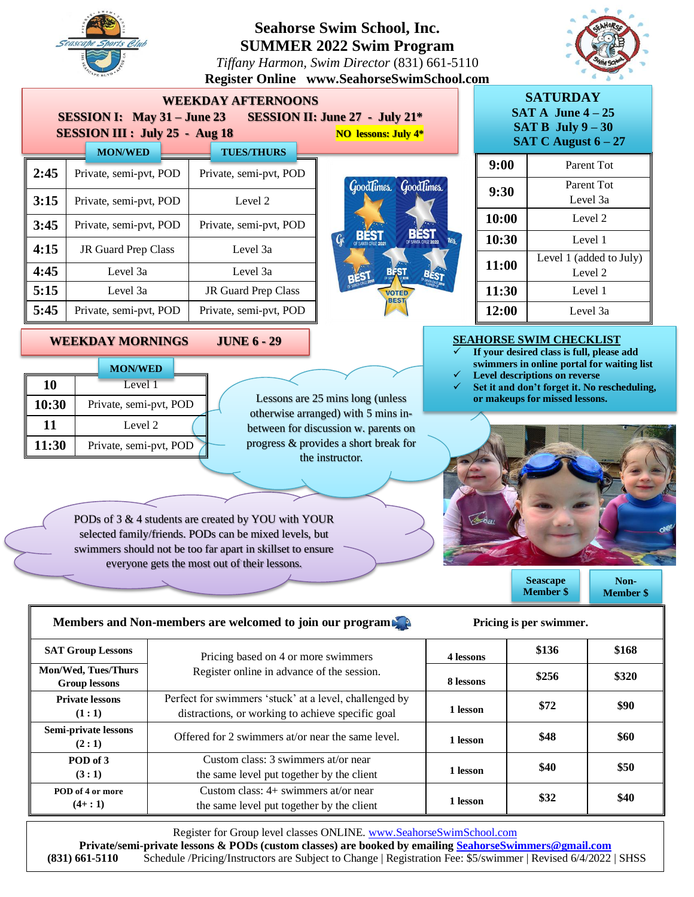

**10** Level 1

**11** Level 2

10:30 Private, semi-pvt, POD

**MON/WED**

**11:30** Private, semi-pvt, POD

# **Seahorse Swim School, Inc. SUMMER 2022 Swim Program**

*Tiffany Harmon, Swim Director* (831) 661-5110 **Register Online www.SeahorseSwimSchool.com**



| <b>WEEKDAY AFTERNOONS</b><br><b>SESSION I:</b> May $31 -$ June 23<br><b>SESSION II: June 27 - July 21*</b><br><b>SESSION III : July 25 - Aug 18</b><br><b>NO lessons: July 4*</b> |                            |                            |                            |  |  |  |
|-----------------------------------------------------------------------------------------------------------------------------------------------------------------------------------|----------------------------|----------------------------|----------------------------|--|--|--|
|                                                                                                                                                                                   | <b>MON/WED</b>             | <b>TUES/THURS</b>          |                            |  |  |  |
| 2:45                                                                                                                                                                              | Private, semi-pvt, POD     | Private, semi-pvt, POD     | GoodTimes Good             |  |  |  |
| 3:15                                                                                                                                                                              | Private, semi-pvt, POD     | Level 2                    |                            |  |  |  |
| 3:45                                                                                                                                                                              | Private, semi-pvt, POD     | Private, semi-pvt, POD     |                            |  |  |  |
| 4:15                                                                                                                                                                              | <b>JR Guard Prep Class</b> | Level 3a                   | Gc                         |  |  |  |
| 4:45                                                                                                                                                                              | Level 3a                   | Level 3a                   |                            |  |  |  |
| 5:15                                                                                                                                                                              | Level 3a                   | <b>JR Guard Prep Class</b> | <b>VOTED</b><br><b>BES</b> |  |  |  |
| 5:45                                                                                                                                                                              | Private, semi-pvt, POD     | Private, semi-pvt, POD     |                            |  |  |  |

**WEEKDAY MORNINGS JUNE 6 - 29** 



| <b>SATURDAY</b><br>$SAT A$ June $4-25$<br>SAT B July $9 - 30$<br>SAT C August $6 - 27$ |                                    |  |  |  |
|----------------------------------------------------------------------------------------|------------------------------------|--|--|--|
| 9:00                                                                                   | Parent Tot                         |  |  |  |
| 9:30                                                                                   | Parent Tot<br>Level 3a             |  |  |  |
| 10:00                                                                                  | Level 2                            |  |  |  |
| 10:30                                                                                  | Level 1                            |  |  |  |
| 11:00                                                                                  | Level 1 (added to July)<br>Level 2 |  |  |  |
| 11:30                                                                                  | Level 1                            |  |  |  |
| 12:00                                                                                  | Level 3a                           |  |  |  |

#### **SEAHORSE SWIM CHECKLIST**

- ✓ **If your desired class is full, please add swimmers in online portal for waiting list** Level descriptions on reverse
- ✓ **Set it and don't forget it. No rescheduling, or makeups for missed lessons.**



**Seascape Member \$**

**Non-Member \$**

#### PODs of 3 & 4 students are created by YOU with YOUR selected family/friends. PODs can be mixed levels, but swimmers should not be too far apart in skillset to ensure everyone gets the most out of their lessons.

**Members and Non-members are welcomed to join our program** 

| <b>SAT Group Lessons</b>                    | Pricing based on 4 or more swimmers                                                                         | 4 lessons | \$136 | \$168 |  |
|---------------------------------------------|-------------------------------------------------------------------------------------------------------------|-----------|-------|-------|--|
| Mon/Wed, Tues/Thurs<br><b>Group lessons</b> | Register online in advance of the session.                                                                  | 8 lessons | \$256 | \$320 |  |
| <b>Private lessons</b><br>(1:1)             | Perfect for swimmers 'stuck' at a level, challenged by<br>distractions, or working to achieve specific goal | 1 lesson  | \$72  | \$90  |  |
| Semi-private lessons<br>(2:1)               | Offered for 2 swimmers at/or near the same level.                                                           | 1 lesson  | \$48  | \$60  |  |
| POD of 3<br>(3:1)                           | Custom class: 3 swimmers at/or near<br>the same level put together by the client                            | 1 lesson  | \$40  | \$50  |  |
| POD of 4 or more<br>$(4+:1)$                | Custom class: $4+$ swimmers at/or near<br>the same level put together by the client                         | 1 lesson  | \$32  | \$40  |  |

Lessons are 25 mins long (unless otherwise arranged) with 5 mins inbetween for discussion w. parents on progress & provides a short break for the instructor.

Register for Group level classes ONLINE. [www.SeahorseSwimSchool.com](http://www.seahorseswimschool.com/)

**Private/semi-private lessons & PODs (custom classes) are booked by emailing [SeahorseSwimmers@gmail.com](mailto:SeahorseSwimmers@gmail.com) (831) 661-5110** Schedule /Pricing/Instructors are Subject to Change | Registration Fee: \$5/swimmer | Revised 6/4/2022 | SHSS